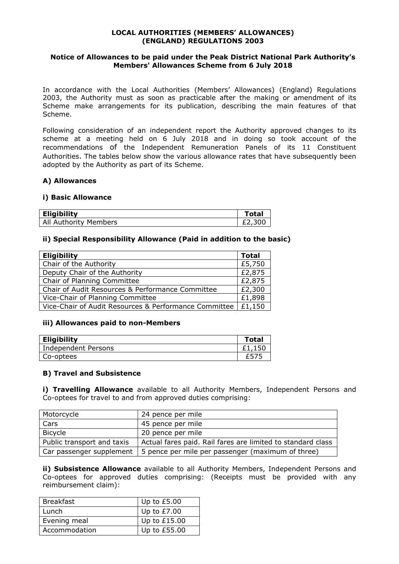## **LOCAL AUTHORITIES (MEMBERS' ALLOWANCES) (ENGLAND) REGULATIONS 2003**

## **Notice of Allowances to be paid under the Peak District National Park Authority's Members' Allowances Scheme from 6 July 2018**

In accordance with the Local Authorities (Members' Allowances) (England) Regulations 2003, the Authority must as soon as practicable after the making or amendment of its Scheme make arrangements for its publication, describing the main features of that Scheme.

Following consideration of an independent report the Authority approved changes to its scheme at a meeting held on 6 July 2018 and in doing so took account of the recommendations of the Independent Remuneration Panels of its 11 Constituent Authorities. The tables below show the various allowance rates that have subsequently been adopted by the Authority as part of its Scheme.

## **A) Allowances**

#### **i) Basic Allowance**

| <b>Eligibility</b>    | 'otal  |
|-----------------------|--------|
| All Authority Members | £2,300 |

## **ii) Special Responsibility Allowance (Paid in addition to the basic)**

| <b>Eligibility</b>                                    | <b>Total</b> |
|-------------------------------------------------------|--------------|
| Chair of the Authority                                | £5,750       |
| Deputy Chair of the Authority                         | £2,875       |
| Chair of Planning Committee                           | £2,875       |
| Chair of Audit Resources & Performance Committee      | £2,300       |
| Vice-Chair of Planning Committee                      | £1,898       |
| Vice-Chair of Audit Resources & Performance Committee | £1,150       |

#### **iii) Allowances paid to non-Members**

| <b>Eligibility</b>  | Total |
|---------------------|-------|
| Independent Persons | .150  |
| Co-optees           |       |

#### **B) Travel and Subsistence**

**i) Travelling Allowance** available to all Authority Members, Independent Persons and Co-optees for travel to and from approved duties comprising:

| Motorcycle                 | 24 pence per mile                                                                  |
|----------------------------|------------------------------------------------------------------------------------|
| Cars                       | 45 pence per mile                                                                  |
| Bicycle                    | 20 pence per mile                                                                  |
| Public transport and taxis | Actual fares paid. Rail fares are limited to standard class                        |
|                            | Car passenger supplement $\vert$ 5 pence per mile per passenger (maximum of three) |

**ii) Subsistence Allowance** available to all Authority Members, Independent Persons and Co-optees for approved duties comprising: (Receipts must be provided with any reimbursement claim):

| <b>Breakfast</b> | Up to $£5.00$  |
|------------------|----------------|
| Lunch            | Up to $£7.00$  |
| Evening meal     | Up to $£15.00$ |
| Accommodation    | Up to £55.00   |